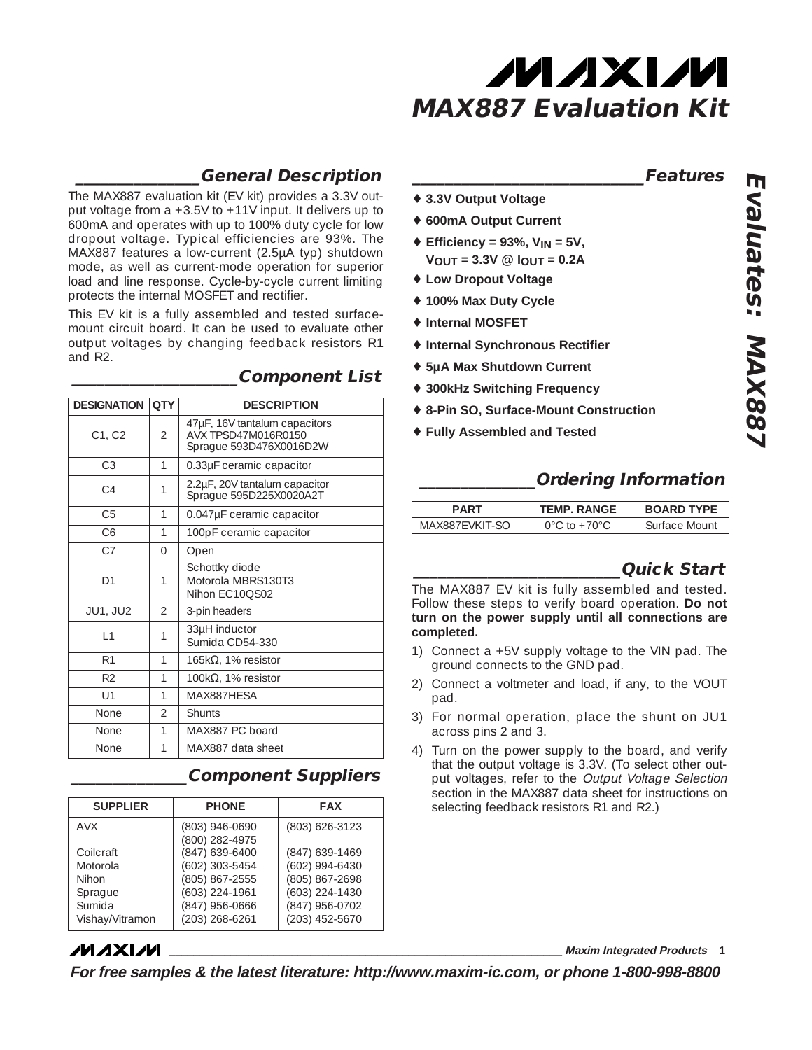

### **\_\_\_\_\_\_\_\_\_\_\_\_\_\_\_General Description**

The MAX887 evaluation kit (EV kit) provides a 3.3V output voltage from a +3.5V to +11V input. It delivers up to 600mA and operates with up to 100% duty cycle for low dropout voltage. Typical efficiencies are 93%. The MAX887 features a low-current (2.5µA typ) shutdown mode, as well as current-mode operation for superior load and line response. Cycle-by-cycle current limiting protects the internal MOSFET and rectifier.

This EV kit is a fully assembled and tested surfacemount circuit board. It can be used to evaluate other output voltages by changing feedback resistors R1 and R2.

| <b>DESIGNATION</b>  | <b>QTY</b>               | <b>DESCRIPTION</b>                                                              |
|---------------------|--------------------------|---------------------------------------------------------------------------------|
| $C1$ , $C2$         | $\overline{\mathcal{L}}$ | 47µF, 16V tantalum capacitors<br>AVX TPSD47M016R0150<br>Sprague 593D476X0016D2W |
| C <sub>3</sub>      | 1                        | 0.33µF ceramic capacitor                                                        |
| C <sub>4</sub>      | 1                        | 2.2µF, 20V tantalum capacitor<br>Sprague 595D225X0020A2T                        |
| C <sub>5</sub>      | 1                        | 0.047µF ceramic capacitor                                                       |
| C6                  | 1                        | 100pF ceramic capacitor                                                         |
| C <sub>7</sub>      | $\Omega$                 | Open                                                                            |
| D1                  | 1                        | Schottky diode<br>Motorola MBRS130T3<br>Nihon EC10QS02                          |
| <b>JU1, JU2</b>     | $\overline{\mathcal{L}}$ | 3-pin headers                                                                   |
| $\lfloor 1 \rfloor$ | 1                        | 33µH inductor<br>Sumida CD54-330                                                |
| R1                  | 1                        | 165k $\Omega$ , 1% resistor                                                     |
| R <sub>2</sub>      | 1                        | 100k $\Omega$ , 1% resistor                                                     |
| U1                  | 1                        | MAX887HFSA                                                                      |
| None                | $\overline{\mathcal{L}}$ | Shunts                                                                          |
| None                | 1                        | MAX887 PC board                                                                 |
| None                | 1                        | MAX887 data sheet                                                               |

### **\_\_\_\_\_\_\_\_\_\_\_\_\_\_\_\_\_\_\_\_Component List**

**\_\_\_\_\_\_\_\_\_\_\_\_\_\_Component Suppliers**

| <b>SUPPLIER</b> | <b>PHONE</b>                     | <b>FAX</b>       |
|-----------------|----------------------------------|------------------|
| <b>AVX</b>      | (803) 946-0690<br>(800) 282-4975 | (803) 626-3123   |
| Collcraft       | (847) 639-6400                   | (847) 639-1469   |
| Motorola        | (602) 303-5454                   | (602) 994-6430   |
| Nihon           | (805) 867-2555                   | (805) 867-2698   |
| Sprague         | (603) 224-1961                   | $(603)$ 224-1430 |
| Sumida          | (847) 956-0666                   | (847) 956-0702   |
| Vishay/Vitramon | (203) 268-6261                   | (203) 452-5670   |

### **MAXIM**

**\_\_\_\_\_\_\_\_\_\_\_\_\_\_\_\_\_\_\_\_\_\_\_\_\_\_\_\_\_\_\_\_\_\_\_\_\_\_\_\_\_\_\_\_\_\_\_\_\_\_\_\_\_\_\_\_\_\_\_\_\_\_\_\_ Maxim Integrated Products 1**

**For free samples & the latest literature: http://www.maxim-ic.com, or phone 1-800-998-8800**

#### **\_\_\_\_\_\_\_\_\_\_\_\_\_\_\_\_\_\_\_\_\_\_\_\_\_\_\_\_Features**

- ♦ **3.3V Output Voltage**
- ♦ **600mA Output Current**
- ♦ **Efficiency = 93%, VIN = 5V,**  $V_{OUT} = 3.3V$  @  $I_{OUT} = 0.2A$
- ♦ **Low Dropout Voltage**
- ♦ **100% Max Duty Cycle**
- ♦ **Internal MOSFET**
- ♦ **Internal Synchronous Rectifier**
- ♦ **5µA Max Shutdown Current**
- ♦ **300kHz Switching Frequency**
- ♦ **8-Pin SO, Surface-Mount Construction**
- ♦ **Fully Assembled and Tested**

### **\_\_\_\_\_\_\_\_\_\_\_\_\_\_Ordering Information**

| PART           | <b>TEMP. RANGE</b>                 | <b>BOARD TYPE</b> |
|----------------|------------------------------------|-------------------|
| MAX887FVKIT-SO | $0^{\circ}$ C to +70 $^{\circ}$ C. | Surface Mount     |

### **\_\_\_\_\_\_\_\_\_\_\_\_\_\_\_\_\_\_\_\_\_\_\_\_\_Quick Start**

The MAX887 EV kit is fully assembled and tested. Follow these steps to verify board operation. **Do not turn on the power supply until all connections are completed.**

- 1) Connect a +5V supply voltage to the VIN pad. The ground connects to the GND pad.
- 2) Connect a voltmeter and load, if any, to the VOUT pad.
- 3) For normal operation, place the shunt on JU1 across pins 2 and 3.
- 4) Turn on the power supply to the board, and verify that the output voltage is 3.3V. (To select other output voltages, refer to the Output Voltage Selection section in the MAX887 data sheet for instructions on selecting feedback resistors R1 and R2.)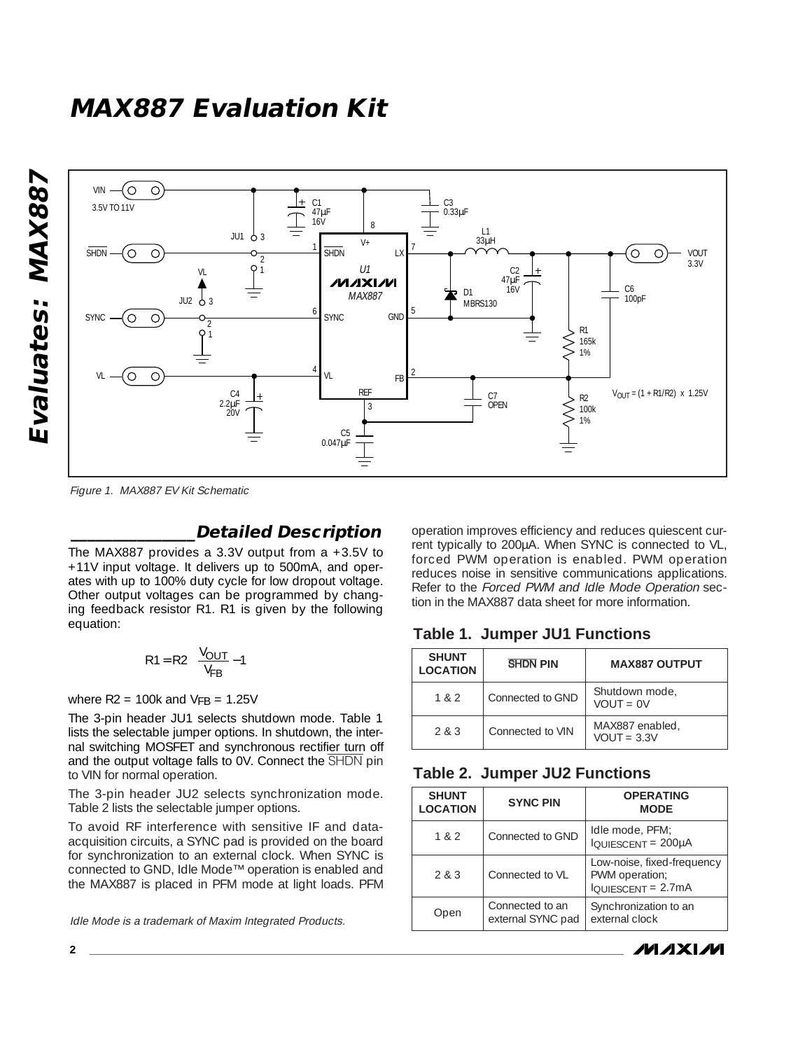## **MAX887 Evaluation Kit**





Figure 1. MAX887 EV Kit Schematic

### **\_\_\_\_\_\_\_\_\_\_\_\_\_\_\_Detailed Description**

The MAX887 provides a 3.3V output from a +3.5V to +11V input voltage. It delivers up to 500mA, and operates with up to 100% duty cycle for low dropout voltage. Other output voltages can be programmed by changing feedback resistor R1. R1 is given by the following equation:

$$
R1 = R2 \left( \frac{V_{OUT}}{V_{FB}} - 1 \right)
$$

where  $R2 = 100k$  and  $VFB = 1.25V$ 

The 3-pin header JU1 selects shutdown mode. Table 1 lists the selectable jumper options. In shutdown, the internal switching MOSFET and synchronous rectifier turn off and the output voltage falls to 0V. Connect the SHDN pin to VIN for normal operation.

The 3-pin header JU2 selects synchronization mode. Table 2 lists the selectable jumper options.

To avoid RF interference with sensitive IF and dataacquisition circuits, a SYNC pad is provided on the board for synchronization to an external clock. When SYNC is connected to GND, Idle Mode™ operation is enabled and the MAX887 is placed in PFM mode at light loads. PFM

Idle Mode is a trademark of Maxim Integrated Products.

operation improves efficiency and reduces quiescent current typically to 200µA. When SYNC is connected to VL, forced PWM operation is enabled. PWM operation reduces noise in sensitive communications applications. Refer to the Forced PWM and Idle Mode Operation section in the MAX887 data sheet for more information.

### **Table 1. Jumper JU1 Functions**

| <b>SHUNT</b><br><b>LOCATION</b> | <b>SHDN PIN</b>  | <b>MAX887 OUTPUT</b>             |
|---------------------------------|------------------|----------------------------------|
| 1 & 2                           | Connected to GND | Shutdown mode,<br>$VOUT = 0V$    |
| 283                             | Connected to VIN | MAX887 enabled,<br>$VOUT = 3.3V$ |

### **Table 2. Jumper JU2 Functions**

| <b>SHUNT</b><br><b>LOCATION</b> | <b>SYNC PIN</b>                      | <b>OPERATING</b><br><b>MODE</b>                                                        |
|---------------------------------|--------------------------------------|----------------------------------------------------------------------------------------|
| 182                             | Connected to GND                     | Idle mode, PFM;<br>IQUIESCENT = 200µA                                                  |
| 2 & 3                           | Connected to VL                      | Low-noise, fixed-frequency<br>PWM operation;<br>$I_{\text{QUIESCENT}} = 2.7 \text{mA}$ |
| Open                            | Connected to an<br>external SYNC pad | Synchronization to an<br>external clock                                                |

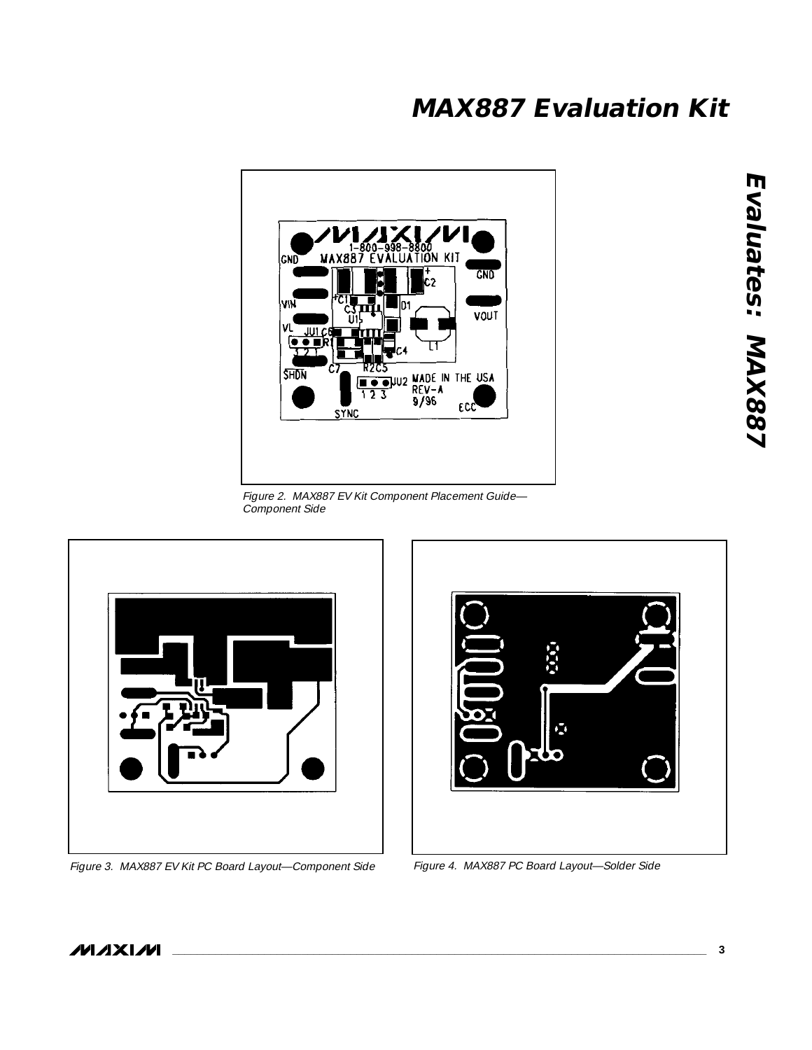# **MAX887 Evaluation Kit**



Figure 2. MAX887 EV Kit Component Placement Guide— Component Side



Figure 3. MAX887 EV Kit PC Board Layout-Component Side Figure 4. MAX887 PC Board Layout-Solder Side